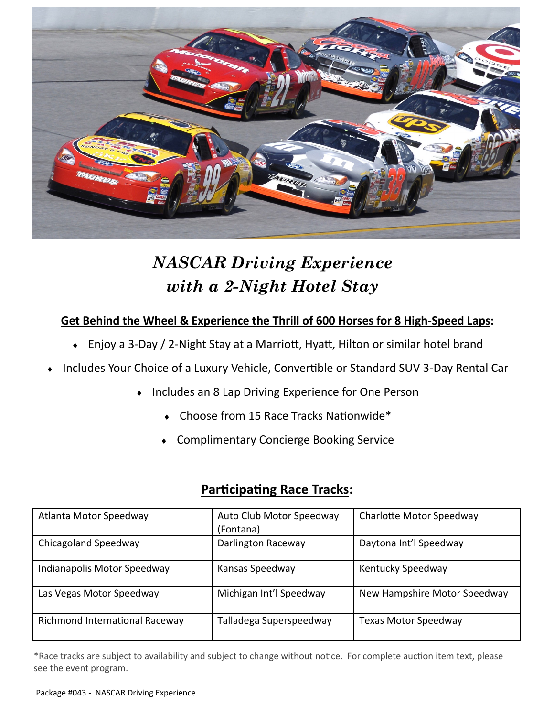

# *NASCAR Driving Experience with a 2-Night Hotel Stay*

## **Get Behind the Wheel & Experience the Thrill of 600 Horses for 8 High-Speed Laps:**

- Enjoy a 3-Day / 2-Night Stay at a Marriott, Hyatt, Hilton or similar hotel brand
- Includes Your Choice of a Luxury Vehicle, Convertible or Standard SUV 3-Day Rental Car
	- Includes an 8 Lap Driving Experience for One Person
		- Choose from 15 Race Tracks Nationwide\*
		- Complimentary Concierge Booking Service

## **Participating Race Tracks:**

| Atlanta Motor Speedway         | Auto Club Motor Speedway<br>(Fontana) | Charlotte Motor Speedway     |
|--------------------------------|---------------------------------------|------------------------------|
| Chicagoland Speedway           | Darlington Raceway                    | Daytona Int'l Speedway       |
| Indianapolis Motor Speedway    | Kansas Speedway                       | Kentucky Speedway            |
| Las Vegas Motor Speedway       | Michigan Int'l Speedway               | New Hampshire Motor Speedway |
| Richmond International Raceway | Talladega Superspeedway               | Texas Motor Speedway         |

\*Race tracks are subject to availability and subject to change without notice. For complete auction item text, please see the event program.